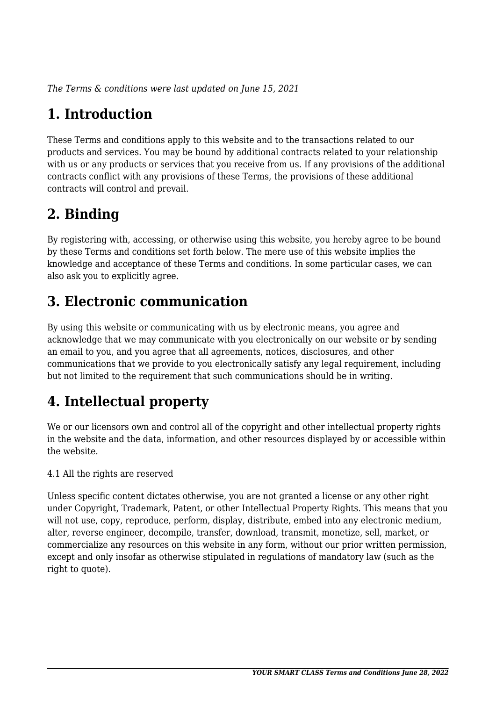*The Terms & conditions were last updated on June 15, 2021*

# **1. Introduction**

These Terms and conditions apply to this website and to the transactions related to our products and services. You may be bound by additional contracts related to your relationship with us or any products or services that you receive from us. If any provisions of the additional contracts conflict with any provisions of these Terms, the provisions of these additional contracts will control and prevail.

## **2. Binding**

By registering with, accessing, or otherwise using this website, you hereby agree to be bound by these Terms and conditions set forth below. The mere use of this website implies the knowledge and acceptance of these Terms and conditions. In some particular cases, we can also ask you to explicitly agree.

# **3. Electronic communication**

By using this website or communicating with us by electronic means, you agree and acknowledge that we may communicate with you electronically on our website or by sending an email to you, and you agree that all agreements, notices, disclosures, and other communications that we provide to you electronically satisfy any legal requirement, including but not limited to the requirement that such communications should be in writing.

# **4. Intellectual property**

We or our licensors own and control all of the copyright and other intellectual property rights in the website and the data, information, and other resources displayed by or accessible within the website.

4.1 All the rights are reserved

Unless specific content dictates otherwise, you are not granted a license or any other right under Copyright, Trademark, Patent, or other Intellectual Property Rights. This means that you will not use, copy, reproduce, perform, display, distribute, embed into any electronic medium, alter, reverse engineer, decompile, transfer, download, transmit, monetize, sell, market, or commercialize any resources on this website in any form, without our prior written permission, except and only insofar as otherwise stipulated in regulations of mandatory law (such as the right to quote).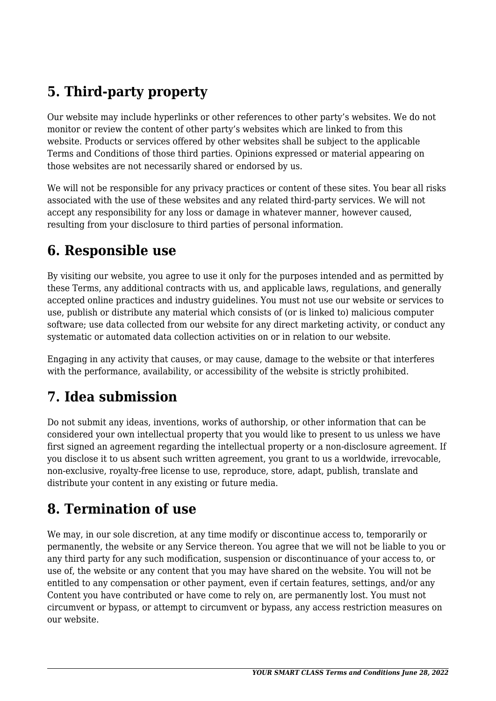# **5. Third-party property**

Our website may include hyperlinks or other references to other party's websites. We do not monitor or review the content of other party's websites which are linked to from this website. Products or services offered by other websites shall be subject to the applicable Terms and Conditions of those third parties. Opinions expressed or material appearing on those websites are not necessarily shared or endorsed by us.

We will not be responsible for any privacy practices or content of these sites. You bear all risks associated with the use of these websites and any related third-party services. We will not accept any responsibility for any loss or damage in whatever manner, however caused, resulting from your disclosure to third parties of personal information.

#### **6. Responsible use**

By visiting our website, you agree to use it only for the purposes intended and as permitted by these Terms, any additional contracts with us, and applicable laws, regulations, and generally accepted online practices and industry guidelines. You must not use our website or services to use, publish or distribute any material which consists of (or is linked to) malicious computer software; use data collected from our website for any direct marketing activity, or conduct any systematic or automated data collection activities on or in relation to our website.

Engaging in any activity that causes, or may cause, damage to the website or that interferes with the performance, availability, or accessibility of the website is strictly prohibited.

## **7. Idea submission**

Do not submit any ideas, inventions, works of authorship, or other information that can be considered your own intellectual property that you would like to present to us unless we have first signed an agreement regarding the intellectual property or a non-disclosure agreement. If you disclose it to us absent such written agreement, you grant to us a worldwide, irrevocable, non-exclusive, royalty-free license to use, reproduce, store, adapt, publish, translate and distribute your content in any existing or future media.

### **8. Termination of use**

We may, in our sole discretion, at any time modify or discontinue access to, temporarily or permanently, the website or any Service thereon. You agree that we will not be liable to you or any third party for any such modification, suspension or discontinuance of your access to, or use of, the website or any content that you may have shared on the website. You will not be entitled to any compensation or other payment, even if certain features, settings, and/or any Content you have contributed or have come to rely on, are permanently lost. You must not circumvent or bypass, or attempt to circumvent or bypass, any access restriction measures on our website.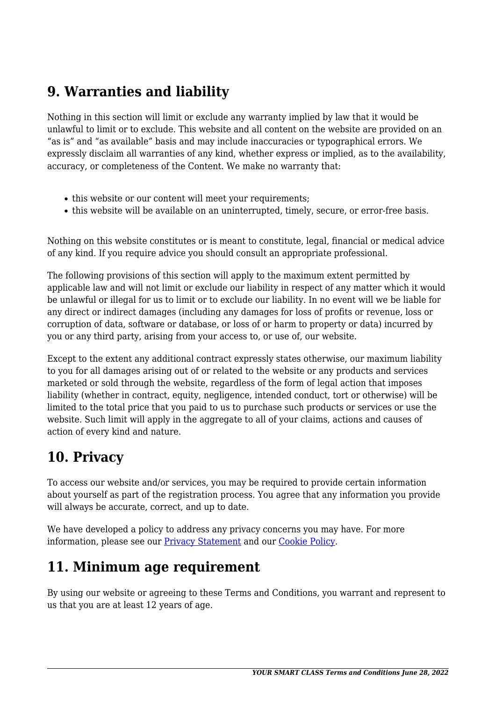### **9. Warranties and liability**

Nothing in this section will limit or exclude any warranty implied by law that it would be unlawful to limit or to exclude. This website and all content on the website are provided on an "as is" and "as available" basis and may include inaccuracies or typographical errors. We expressly disclaim all warranties of any kind, whether express or implied, as to the availability, accuracy, or completeness of the Content. We make no warranty that:

- this website or our content will meet your requirements;
- this website will be available on an uninterrupted, timely, secure, or error-free basis.

Nothing on this website constitutes or is meant to constitute, legal, financial or medical advice of any kind. If you require advice you should consult an appropriate professional.

The following provisions of this section will apply to the maximum extent permitted by applicable law and will not limit or exclude our liability in respect of any matter which it would be unlawful or illegal for us to limit or to exclude our liability. In no event will we be liable for any direct or indirect damages (including any damages for loss of profits or revenue, loss or corruption of data, software or database, or loss of or harm to property or data) incurred by you or any third party, arising from your access to, or use of, our website.

Except to the extent any additional contract expressly states otherwise, our maximum liability to you for all damages arising out of or related to the website or any products and services marketed or sold through the website, regardless of the form of legal action that imposes liability (whether in contract, equity, negligence, intended conduct, tort or otherwise) will be limited to the total price that you paid to us to purchase such products or services or use the website. Such limit will apply in the aggregate to all of your claims, actions and causes of action of every kind and nature.

### **10. Privacy**

To access our website and/or services, you may be required to provide certain information about yourself as part of the registration process. You agree that any information you provide will always be accurate, correct, and up to date.

We have developed a policy to address any privacy concerns you may have. For more information, please see our **Privacy Statement** and our [Cookie Policy](http://yoursmartclass.com/cookie-policy-us/).

### **11. Minimum age requirement**

By using our website or agreeing to these Terms and Conditions, you warrant and represent to us that you are at least 12 years of age.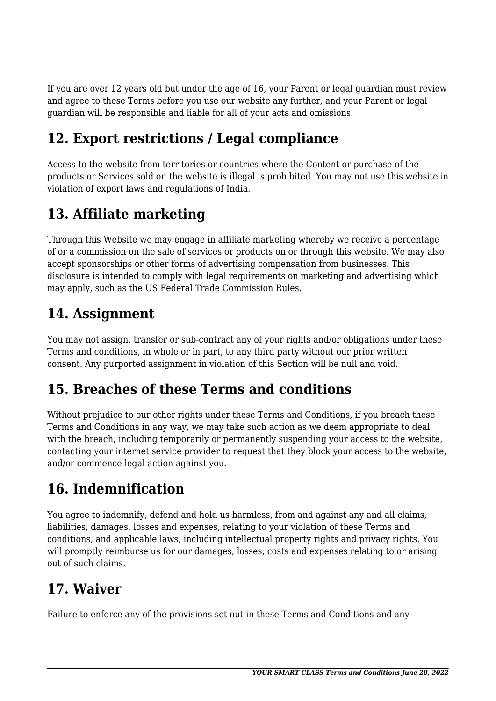If you are over 12 years old but under the age of 16, your Parent or legal guardian must review and agree to these Terms before you use our website any further, and your Parent or legal guardian will be responsible and liable for all of your acts and omissions.

# **12. Export restrictions / Legal compliance**

Access to the website from territories or countries where the Content or purchase of the products or Services sold on the website is illegal is prohibited. You may not use this website in violation of export laws and regulations of India.

### **13. Affiliate marketing**

Through this Website we may engage in affiliate marketing whereby we receive a percentage of or a commission on the sale of services or products on or through this website. We may also accept sponsorships or other forms of advertising compensation from businesses. This disclosure is intended to comply with legal requirements on marketing and advertising which may apply, such as the US Federal Trade Commission Rules.

#### **14. Assignment**

You may not assign, transfer or sub-contract any of your rights and/or obligations under these Terms and conditions, in whole or in part, to any third party without our prior written consent. Any purported assignment in violation of this Section will be null and void.

### **15. Breaches of these Terms and conditions**

Without prejudice to our other rights under these Terms and Conditions, if you breach these Terms and Conditions in any way, we may take such action as we deem appropriate to deal with the breach, including temporarily or permanently suspending your access to the website, contacting your internet service provider to request that they block your access to the website, and/or commence legal action against you.

## **16. Indemnification**

You agree to indemnify, defend and hold us harmless, from and against any and all claims, liabilities, damages, losses and expenses, relating to your violation of these Terms and conditions, and applicable laws, including intellectual property rights and privacy rights. You will promptly reimburse us for our damages, losses, costs and expenses relating to or arising out of such claims.

### **17. Waiver**

Failure to enforce any of the provisions set out in these Terms and Conditions and any